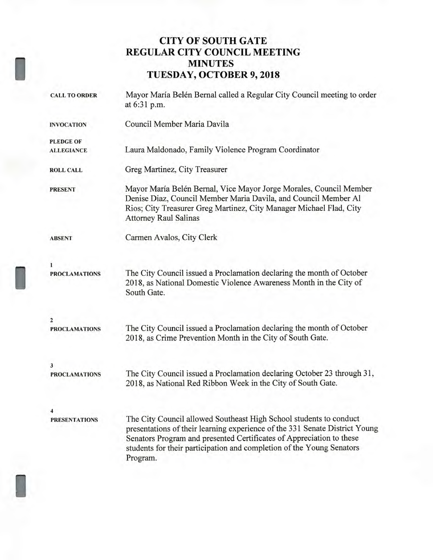## **CITY OF SOUTH GATE REGULAR CITY COUNCIL MEETING MINUTES TUESDAY, OCTOBER 9, 2018**

| <b>CALL TO ORDER</b>                                                                                                                                            | Mayor María Belén Bernal called a Regular City Council meeting to order<br>at 6:31 p.m.                                                                                                                                                                                                                        |  |  |  |  |
|-----------------------------------------------------------------------------------------------------------------------------------------------------------------|----------------------------------------------------------------------------------------------------------------------------------------------------------------------------------------------------------------------------------------------------------------------------------------------------------------|--|--|--|--|
| <b>INVOCATION</b>                                                                                                                                               | Council Member Maria Davila                                                                                                                                                                                                                                                                                    |  |  |  |  |
| <b>PLEDGE OF</b>                                                                                                                                                |                                                                                                                                                                                                                                                                                                                |  |  |  |  |
| <b>ALLEGIANCE</b>                                                                                                                                               | Laura Maldonado, Family Violence Program Coordinator                                                                                                                                                                                                                                                           |  |  |  |  |
| <b>ROLL CALL</b>                                                                                                                                                | Greg Martinez, City Treasurer                                                                                                                                                                                                                                                                                  |  |  |  |  |
| <b>PRESENT</b>                                                                                                                                                  | Mayor María Belén Bernal, Vice Mayor Jorge Morales, Council Member<br>Denise Diaz, Council Member Maria Davila, and Council Member Al<br>Rios; City Treasurer Greg Martinez, City Manager Michael Flad, City<br><b>Attorney Raul Salinas</b>                                                                   |  |  |  |  |
| <b>ABSENT</b>                                                                                                                                                   | Carmen Avalos, City Clerk                                                                                                                                                                                                                                                                                      |  |  |  |  |
| 1                                                                                                                                                               |                                                                                                                                                                                                                                                                                                                |  |  |  |  |
| <b>PROCLAMATIONS</b>                                                                                                                                            | The City Council issued a Proclamation declaring the month of October<br>2018, as National Domestic Violence Awareness Month in the City of<br>South Gate.                                                                                                                                                     |  |  |  |  |
| 2                                                                                                                                                               |                                                                                                                                                                                                                                                                                                                |  |  |  |  |
| <b>PROCLAMATIONS</b>                                                                                                                                            | The City Council issued a Proclamation declaring the month of October<br>2018, as Crime Prevention Month in the City of South Gate.                                                                                                                                                                            |  |  |  |  |
| 3                                                                                                                                                               |                                                                                                                                                                                                                                                                                                                |  |  |  |  |
| The City Council issued a Proclamation declaring October 23 through 31,<br><b>PROCLAMATIONS</b><br>2018, as National Red Ribbon Week in the City of South Gate. |                                                                                                                                                                                                                                                                                                                |  |  |  |  |
| 4                                                                                                                                                               |                                                                                                                                                                                                                                                                                                                |  |  |  |  |
| <b>PRESENTATIONS</b>                                                                                                                                            | The City Council allowed Southeast High School students to conduct<br>presentations of their learning experience of the 331 Senate District Young<br>Senators Program and presented Certificates of Appreciation to these<br>students for their participation and completion of the Young Senators<br>Program. |  |  |  |  |

I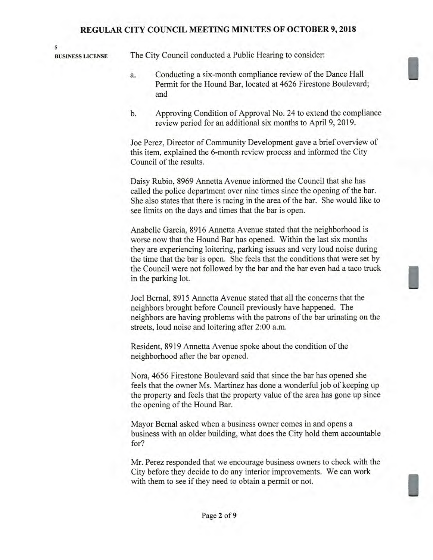**5** 

**BUSINESS LICENSE** The City Council conducted a Public Hearing to consider:

- a. Conducting a six-month compliance review of the Dance Hall Permit for the Hound Bar, located at 4626 Firestone Boulevard; and
- b. Approving Condition of Approval No. 24 to extend the compliance review period for an additional six months to April 9, 2019.

Joe Perez, Director of Community Development gave a brief overview of this item, explained the 6-month review process and informed the City Council of the results.

Daisy Rubio, 8969 Annetta Avenue informed the Council that she has called the police department over nine times since the opening of the bar. She also states that there is racing in the area of the bar. She would like to see limits on the days and times that the bar is open.

Anabelle Garcia, 8916 Annetta Avenue stated that the neighborhood is worse now that the Hound Bar has opened. Within the last six months they are experiencing loitering, parking issues and very loud noise during the time that the bar is open. She feels that the conditions that were set by the Council were not followed by the bar and the bar even had a taco truck in the parking lot.

Joel Bernal, 8915 Annetta Avenue stated that all the concerns that the neighbors brought before Council previously have happened. The neighbors are having problems with the patrons of the bar urinating on the streets, loud noise and loitering after 2:00 a.m.

Resident, 8919 Annetta Avenue spoke about the condition of the neighborhood after the bar opened.

Nora, 4656 Firestone Boulevard said that since the bar has opened she feels that the owner Ms. Martinez has done a wonderful job of keeping up the property and feels that the property value of the area has gone up since the opening of the Hound Bar.

Mayor Bernal asked when a business owner comes in and opens a business with an older building, what does the City hold them accountable for?

Mr. Perez responded that we encourage business owners to check with the City before they decide to do any interior improvements. We can work with them to see if they need to obtain a permit or not.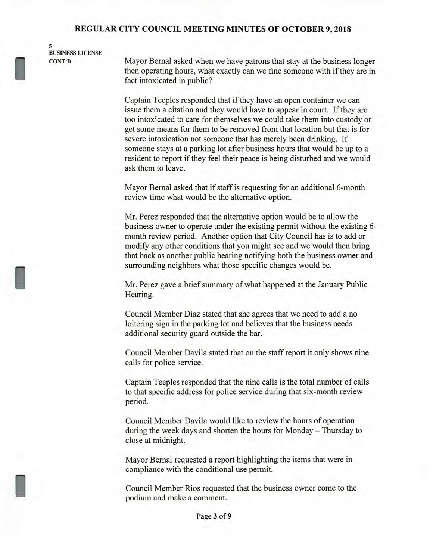**5 BUSINESS LICENSE CONT'D** 

I

Mayor Bernal asked when we have patrons that stay at the business longer then operating hours, what exactly can we fine someone with if they are in fact intoxicated in public?

Captain Teeples responded that if they have an open container we can issue them a citation and they would have to appear in court. If they are too intoxicated to care for themselves we could take them into custody or get some means for them to be removed from that location but that is for severe intoxication not someone that has merely been drinking. If someone stays at a parking lot after business hours that would be up to a resident to report if they feel their peace is being disturbed and we would ask them to leave.

Mayor Bernal asked that if staff is requesting for an additional 6-month review time what would be the alternative option.

Mr. Perez responded that the alternative option would be to allow the business owner to operate under the existing permit without the existing 6 month review period. Another option that City Council has is to add or modify any other conditions that you might see and we would then bring that back as another public hearing notifying both the business owner and surrounding neighbors what those specific changes would be.

Mr. Perez gave a brief summary of what happened at the January Public Hearing.

Council Member Diaz stated that she agrees that we need to add a no loitering sign in the parking lot and believes that the business needs additional security guard outside the bar.

Council Member Davila stated that on the staff report it only shows nine calls for police service.

Captain Teeples responded that the nine calls is the total number of calls to that specific address for police service during that six-month review period.

Council Member Davila would like to review the hours of operation during the week days and shorten the hours for Monday — Thursday to close at midnight.

Mayor Bernal requested a report highlighting the items that were in compliance with the conditional use permit.

Council Member Rios requested that the business owner come to the podium and make a comment.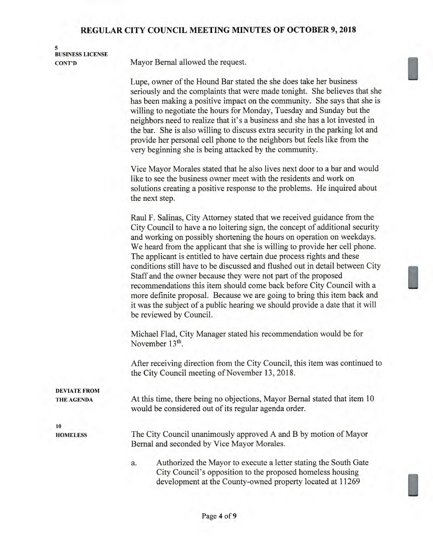| <b>BUSINESS LICENSE</b>                  |                                                                                                                                                                                                                                                                                                                                                                                                                                                                                                                                                                                                                                                                                                                                                                                                              |  |  |  |
|------------------------------------------|--------------------------------------------------------------------------------------------------------------------------------------------------------------------------------------------------------------------------------------------------------------------------------------------------------------------------------------------------------------------------------------------------------------------------------------------------------------------------------------------------------------------------------------------------------------------------------------------------------------------------------------------------------------------------------------------------------------------------------------------------------------------------------------------------------------|--|--|--|
| <b>CONT'D</b>                            | Mayor Bernal allowed the request.                                                                                                                                                                                                                                                                                                                                                                                                                                                                                                                                                                                                                                                                                                                                                                            |  |  |  |
|                                          | Lupe, owner of the Hound Bar stated the she does take her business<br>seriously and the complaints that were made tonight. She believes that she<br>has been making a positive impact on the community. She says that she is<br>willing to negotiate the hours for Monday, Tuesday and Sunday but the<br>neighbors need to realize that it's a business and she has a lot invested in<br>the bar. She is also willing to discuss extra security in the parking lot and<br>provide her personal cell phone to the neighbors but feels like from the<br>very beginning she is being attacked by the community.                                                                                                                                                                                                 |  |  |  |
|                                          | Vice Mayor Morales stated that he also lives next door to a bar and would<br>like to see the business owner meet with the residents and work on<br>solutions creating a positive response to the problems. He inquired about<br>the next step.                                                                                                                                                                                                                                                                                                                                                                                                                                                                                                                                                               |  |  |  |
|                                          | Raul F. Salinas, City Attorney stated that we received guidance from the<br>City Council to have a no loitering sign, the concept of additional security<br>and working on possibly shortening the hours on operation on weekdays.<br>We heard from the applicant that she is willing to provide her cell phone.<br>The applicant is entitled to have certain due process rights and these<br>conditions still have to be discussed and flushed out in detail between City<br>Staff and the owner because they were not part of the proposed<br>recommendations this item should come back before City Council with a<br>more definite proposal. Because we are going to bring this item back and<br>it was the subject of a public hearing we should provide a date that it will<br>be reviewed by Council. |  |  |  |
|                                          | Michael Flad, City Manager stated his recommendation would be for<br>November 13 <sup>th</sup> .                                                                                                                                                                                                                                                                                                                                                                                                                                                                                                                                                                                                                                                                                                             |  |  |  |
|                                          | After receiving direction from the City Council, this item was continued to<br>the City Council meeting of November 13, 2018.                                                                                                                                                                                                                                                                                                                                                                                                                                                                                                                                                                                                                                                                                |  |  |  |
| <b>DEVIATE FROM</b><br><b>THE AGENDA</b> | At this time, there being no objections, Mayor Bernal stated that item 10                                                                                                                                                                                                                                                                                                                                                                                                                                                                                                                                                                                                                                                                                                                                    |  |  |  |
|                                          | would be considered out of its regular agenda order.                                                                                                                                                                                                                                                                                                                                                                                                                                                                                                                                                                                                                                                                                                                                                         |  |  |  |
| 10<br><b>HOMELESS</b>                    | The City Council unanimously approved A and B by motion of Mayor<br>Bernal and seconded by Vice Mayor Morales.                                                                                                                                                                                                                                                                                                                                                                                                                                                                                                                                                                                                                                                                                               |  |  |  |
|                                          | Authorized the Mayor to execute a letter stating the South Gate<br>a.<br>City Council's opposition to the proposed homeless housing<br>development at the County-owned property located at 11269                                                                                                                                                                                                                                                                                                                                                                                                                                                                                                                                                                                                             |  |  |  |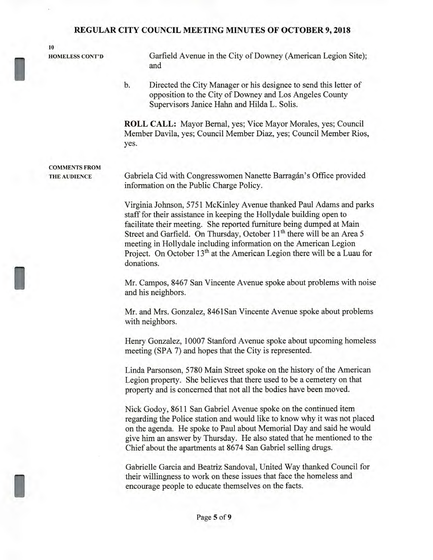**10** 

I

I

I

**HOMELESS CONT'D** Garfield Avenue in the City of Downey (American Legion Site); and

> b. Directed the City Manager or his designee to send this letter of opposition to the City of Downey and Los Angeles County Supervisors Janice Hahn and Hilda L. Solis.

**ROLL CALL:** Mayor Bernal, yes; Vice Mayor Morales, yes; Council Member Davila, yes; Council Member Diaz, yes; Council Member Rios, yes.

**COMMENTS FROM THE AUDIENCE** 

Gabriela Cid with Congresswomen Nanette Barragán's Office provided information on the Public Charge Policy.

Virginia Johnson, 5751 McKinley Avenue thanked Paul Adams and parks staff for their assistance in keeping the Hollydale building open to facilitate their meeting. She reported furniture being dumped at Main Street and Garfield. On Thursday, October 11<sup>th</sup> there will be an Area 5 meeting in Hollydale including information on the American Legion Project. On October 13<sup>th</sup> at the American Legion there will be a Luau for donations.

Mr. Campos, 8467 San Vincente Avenue spoke about problems with noise and his neighbors.

Mr. and Mrs. Gonzalez, 8461San Vincente Avenue spoke about problems with neighbors.

Henry Gonzalez, 10007 Stanford Avenue spoke about upcoming homeless meeting (SPA 7) and hopes that the City is represented.

Linda Parsonson, 5780 Main Street spoke on the history of the American Legion property. She believes that there used to be a cemetery on that property and is concerned that not all the bodies have been moved.

Nick Godoy, 8611 San Gabriel Avenue spoke on the continued item regarding the Police station and would like to know why it was not placed on the agenda. He spoke to Paul about Memorial Day and said he would give him an answer by Thursday. He also stated that he mentioned to the Chief about the apartments at 8674 San Gabriel selling drugs.

Gabrielle Garcia and Beatriz Sandoval, United Way thanked Council for their willingness to work on these issues that face the homeless and encourage people to educate themselves on the facts.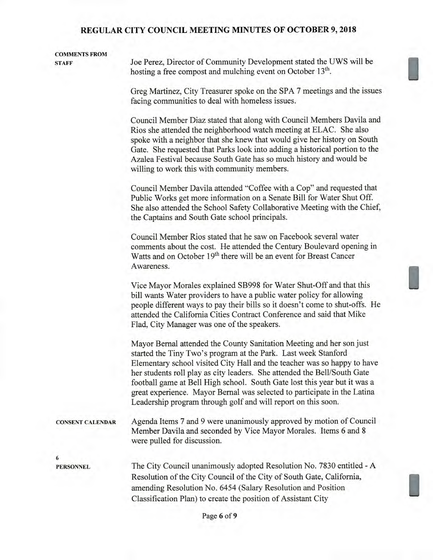# **COMMENTS FROM STAFF** Joe Perez, Director of Community Development stated the UWS will be hosting a free compost and mulching event on October 13<sup>th</sup>. Greg Martinez, City Treasurer spoke on the SPA 7 meetings and the issues facing communities to deal with homeless issues. Council Member Diaz stated that along with Council Members Davila and

Rios she attended the neighborhood watch meeting at ELAC. She also spoke with a neighbor that she knew that would give her history on South Gate. She requested that Parks look into adding a historical portion to the Azalea Festival because South Gate has so much history and would be willing to work this with community members.

Council Member Davila attended "Coffee with a Cop" and requested that Public Works get more information on a Senate Bill for Water Shut Off. She also attended the School Safety Collaborative Meeting with the Chief, the Captains and South Gate school principals.

Council Member Rios stated that he saw on Facebook several water comments about the cost. He attended the Century Boulevard opening in Watts and on October 19<sup>th</sup> there will be an event for Breast Cancer Awareness.

Vice Mayor Morales explained SB998 for Water Shut-Off and that this bill wants Water providers to have a public water policy for allowing people different ways to pay their bills so it doesn't come to shut-offs. He attended the California Cities Contract Conference and said that Mike Flad, City Manager was one of the speakers.

Mayor Bernal attended the County Sanitation Meeting and her son just started the Tiny Two's program at the Park. Last week Stanford Elementary school visited City Hall and the teacher was so happy to have her students roll play as city leaders. She attended the Bell/South Gate football game at Bell High school. South Gate lost this year but it was a great experience. Mayor Bernal was selected to participate in the Latina Leadership program through golf and will report on this soon.

**CONSENT CALENDAR** Agenda Items 7 and 9 were unanimously approved by motion of Council Member Davila and seconded by Vice Mayor Morales. Items 6 and 8 were pulled for discussion.

**6** 

**PERSONNEL** The City Council unanimously adopted Resolution No. 7830 entitled - A Resolution of the City Council of the City of South Gate, California, amending Resolution No. 6454 (Salary Resolution and Position Classification Plan) to create the position of Assistant City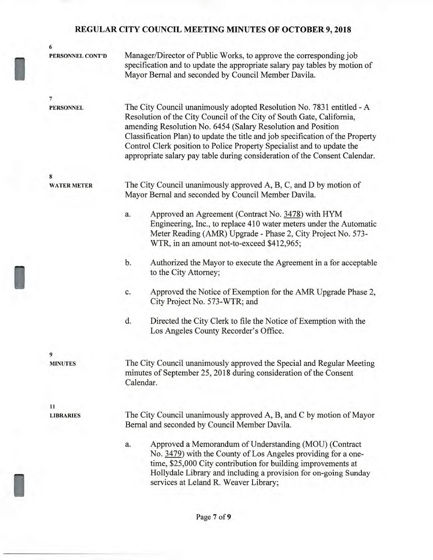I

I

I

| 6                  |                                                                                                                                                                                                                                                                                                                                                                                                                                                          |  |  |  |
|--------------------|----------------------------------------------------------------------------------------------------------------------------------------------------------------------------------------------------------------------------------------------------------------------------------------------------------------------------------------------------------------------------------------------------------------------------------------------------------|--|--|--|
| PERSONNEL CONT'D   | Manager/Director of Public Works, to approve the corresponding job<br>specification and to update the appropriate salary pay tables by motion of<br>Mayor Bernal and seconded by Council Member Davila.                                                                                                                                                                                                                                                  |  |  |  |
| 7                  |                                                                                                                                                                                                                                                                                                                                                                                                                                                          |  |  |  |
| <b>PERSONNEL</b>   | The City Council unanimously adopted Resolution No. 7831 entitled - A<br>Resolution of the City Council of the City of South Gate, California,<br>amending Resolution No. 6454 (Salary Resolution and Position<br>Classification Plan) to update the title and job specification of the Property<br>Control Clerk position to Police Property Specialist and to update the<br>appropriate salary pay table during consideration of the Consent Calendar. |  |  |  |
| 8                  |                                                                                                                                                                                                                                                                                                                                                                                                                                                          |  |  |  |
| <b>WATER METER</b> | The City Council unanimously approved A, B, C, and D by motion of<br>Mayor Bernal and seconded by Council Member Davila.                                                                                                                                                                                                                                                                                                                                 |  |  |  |
|                    | Approved an Agreement (Contract No. 3478) with HYM<br>a.<br>Engineering, Inc., to replace 410 water meters under the Automatic<br>Meter Reading (AMR) Upgrade - Phase 2, City Project No. 573-<br>WTR, in an amount not-to-exceed \$412,965;                                                                                                                                                                                                             |  |  |  |
|                    | b.<br>Authorized the Mayor to execute the Agreement in a for acceptable<br>to the City Attorney;                                                                                                                                                                                                                                                                                                                                                         |  |  |  |
|                    | Approved the Notice of Exemption for the AMR Upgrade Phase 2,<br>c.<br>City Project No. 573-WTR; and                                                                                                                                                                                                                                                                                                                                                     |  |  |  |
|                    | d.<br>Directed the City Clerk to file the Notice of Exemption with the<br>Los Angeles County Recorder's Office.                                                                                                                                                                                                                                                                                                                                          |  |  |  |
| 9                  |                                                                                                                                                                                                                                                                                                                                                                                                                                                          |  |  |  |
| <b>MINUTES</b>     | The City Council unanimously approved the Special and Regular Meeting<br>minutes of September 25, 2018 during consideration of the Consent<br>Calendar.                                                                                                                                                                                                                                                                                                  |  |  |  |
| 11                 |                                                                                                                                                                                                                                                                                                                                                                                                                                                          |  |  |  |
| <b>LIBRARIES</b>   | The City Council unanimously approved A, B, and C by motion of Mayor<br>Bernal and seconded by Council Member Davila.                                                                                                                                                                                                                                                                                                                                    |  |  |  |
|                    | Approved a Memorandum of Understanding (MOU) (Contract<br>a.<br>No. 3479) with the County of Los Angeles providing for a one-<br>time, \$25,000 City contribution for building improvements at<br>Hollydale Library and including a provision for on-going Sunday<br>services at Leland R. Weaver Library;                                                                                                                                               |  |  |  |
|                    |                                                                                                                                                                                                                                                                                                                                                                                                                                                          |  |  |  |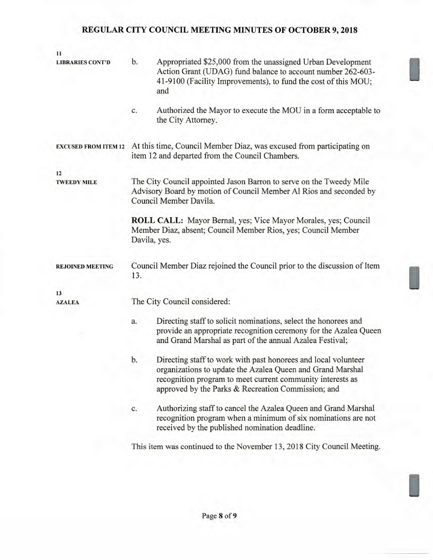| 11                          |                                                                                                                                                                                                       |                                                                                                                                                                                                                                                  |  |  |  |  |
|-----------------------------|-------------------------------------------------------------------------------------------------------------------------------------------------------------------------------------------------------|--------------------------------------------------------------------------------------------------------------------------------------------------------------------------------------------------------------------------------------------------|--|--|--|--|
| <b>LIBRARIES CONT'D</b>     | b.                                                                                                                                                                                                    | Appropriated \$25,000 from the unassigned Urban Development<br>Action Grant (UDAG) fund balance to account number 262-603-<br>41-9100 (Facility Improvements), to fund the cost of this MOU;<br>and                                              |  |  |  |  |
|                             | c.                                                                                                                                                                                                    | Authorized the Mayor to execute the MOU in a form acceptable to<br>the City Attorney.                                                                                                                                                            |  |  |  |  |
| <b>EXCUSED FROM ITEM 12</b> | At this time, Council Member Diaz, was excused from participating on<br>item 12 and departed from the Council Chambers.                                                                               |                                                                                                                                                                                                                                                  |  |  |  |  |
| 12                          |                                                                                                                                                                                                       |                                                                                                                                                                                                                                                  |  |  |  |  |
| <b>TWEEDY MILE</b>          | The City Council appointed Jason Barron to serve on the Tweedy Mile<br>Advisory Board by motion of Council Member Al Rios and seconded by<br>Council Member Davila.                                   |                                                                                                                                                                                                                                                  |  |  |  |  |
|                             | ROLL CALL: Mayor Bernal, yes; Vice Mayor Morales, yes; Council<br>Member Diaz, absent; Council Member Rios, yes; Council Member<br>Davila, yes.                                                       |                                                                                                                                                                                                                                                  |  |  |  |  |
| <b>REJOINED MEETING</b>     | Council Member Diaz rejoined the Council prior to the discussion of Item<br>13.                                                                                                                       |                                                                                                                                                                                                                                                  |  |  |  |  |
| 13                          |                                                                                                                                                                                                       |                                                                                                                                                                                                                                                  |  |  |  |  |
| <b>AZALEA</b>               | The City Council considered:                                                                                                                                                                          |                                                                                                                                                                                                                                                  |  |  |  |  |
| ×                           | Directing staff to solicit nominations, select the honorees and<br>a.<br>provide an appropriate recognition ceremony for the Azalea Queen<br>and Grand Marshal as part of the annual Azalea Festival; |                                                                                                                                                                                                                                                  |  |  |  |  |
|                             | b.                                                                                                                                                                                                    | Directing staff to work with past honorees and local volunteer<br>organizations to update the Azalea Queen and Grand Marshal<br>recognition program to meet current community interests as<br>approved by the Parks & Recreation Commission; and |  |  |  |  |
|                             | c.                                                                                                                                                                                                    | Authorizing staff to cancel the Azalea Queen and Grand Marshal<br>recognition program when a minimum of six nominations are not<br>received by the published nomination deadline.                                                                |  |  |  |  |
|                             |                                                                                                                                                                                                       | This item was continued to the November 13, 2018 City Council Meeting.                                                                                                                                                                           |  |  |  |  |